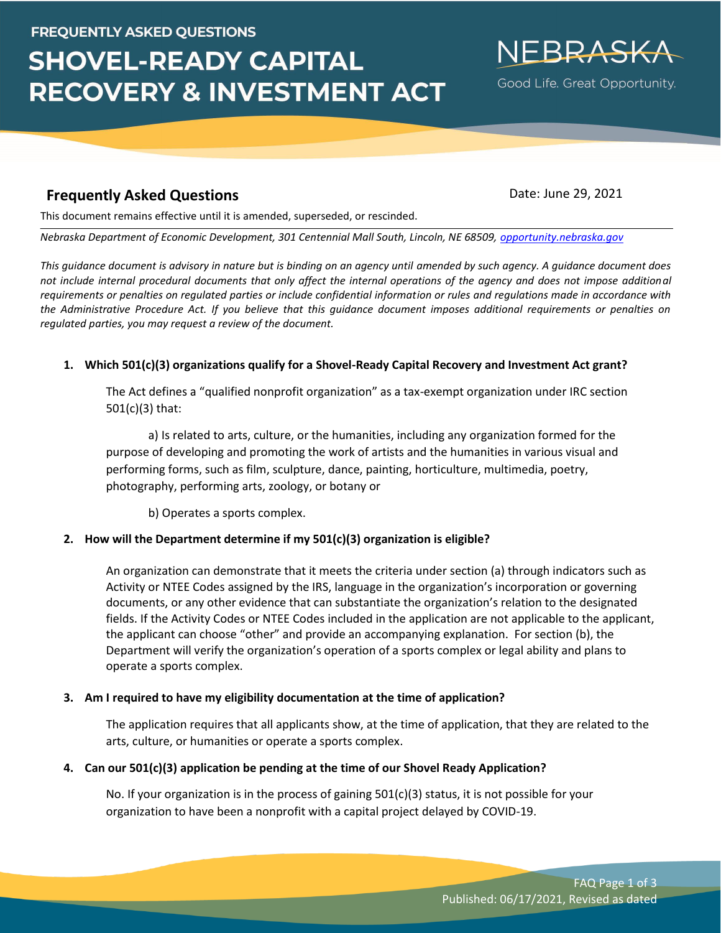# **FREQUENTLY ASKED QUESTIONS**

# **SHOVEL-READY CAPITAL RECOVERY & INVESTMENT ACT**

# **Frequently Asked Questions Date: June 29, 2021**

NFRRASK

Good Life. Great Opportunity.

This document remains effective until it is amended, superseded, or rescinded.

*Nebraska Department of Economic Development, 301 Centennial Mall South, Lincoln, NE 68509, [opportunity.nebraska.gov](https://opportunity.nebraska.gov/)*

*This guidance document is advisory in nature but is binding on an agency until amended by such agency. A guidance document does not include internal procedural documents that only affect the internal operations of the agency and does not impose additional requirements or penalties on regulated parties or include confidential information or rules and regulations made in accordance with the Administrative Procedure Act. If you believe that this guidance document imposes additional requirements or penalties on regulated parties, you may request a review of the document.*

#### **1. Which 501(c)(3) organizations qualify for a Shovel-Ready Capital Recovery and Investment Act grant?**

The Act defines a "qualified nonprofit organization" as a tax-exempt organization under IRC section 501(c)(3) that:

a) Is related to arts, culture, or the humanities, including any organization formed for the purpose of developing and promoting the work of artists and the humanities in various visual and performing forms, such as film, sculpture, dance, painting, horticulture, multimedia, poetry, photography, performing arts, zoology, or botany or

b) Operates a sports complex.

#### **2. How will the Department determine if my 501(c)(3) organization is eligible?**

An organization can demonstrate that it meets the criteria under section (a) through indicators such as Activity or NTEE Codes assigned by the IRS, language in the organization's incorporation or governing documents, or any other evidence that can substantiate the organization's relation to the designated fields. If the Activity Codes or NTEE Codes included in the application are not applicable to the applicant, the applicant can choose "other" and provide an accompanying explanation. For section (b), the Department will verify the organization's operation of a sports complex or legal ability and plans to operate a sports complex.

#### **3. Am I required to have my eligibility documentation at the time of application?**

The application requires that all applicants show, at the time of application, that they are related to the arts, culture, or humanities or operate a sports complex.

#### **4. Can our 501(c)(3) application be pending at the time of our Shovel Ready Application?**

No. If your organization is in the process of gaining 501(c)(3) status, it is not possible for your organization to have been a nonprofit with a capital project delayed by COVID-19.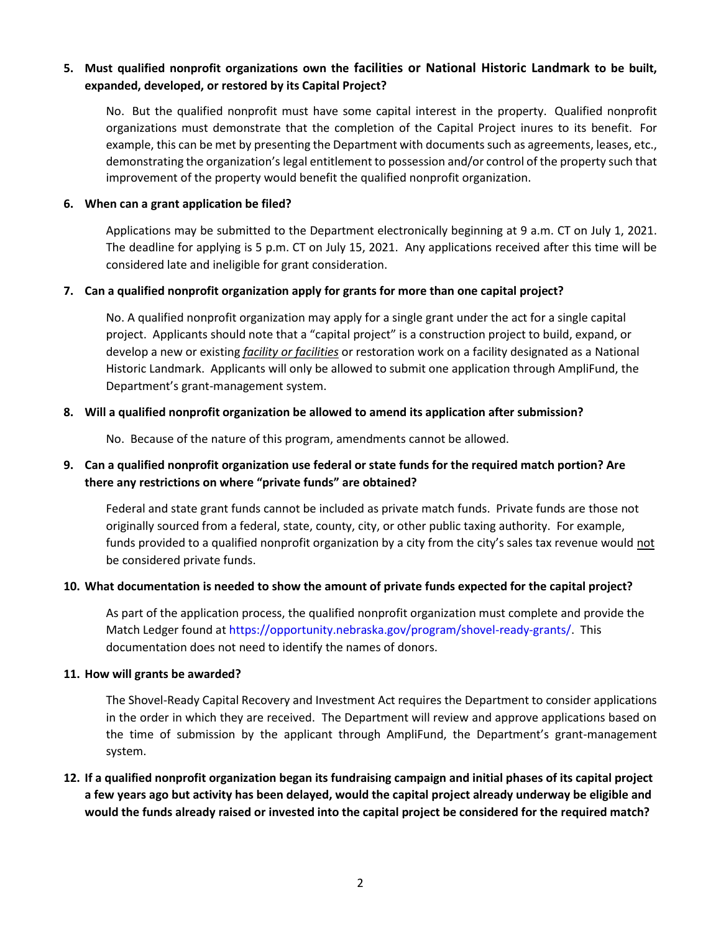## **5. Must qualified nonprofit organizations own the facilities or National Historic Landmark to be built, expanded, developed, or restored by its Capital Project?**

No. But the qualified nonprofit must have some capital interest in the property. Qualified nonprofit organizations must demonstrate that the completion of the Capital Project inures to its benefit. For example, this can be met by presenting the Department with documents such as agreements, leases, etc., demonstrating the organization's legal entitlement to possession and/or control of the property such that improvement of the property would benefit the qualified nonprofit organization.

#### **6. When can a grant application be filed?**

Applications may be submitted to the Department electronically beginning at 9 a.m. CT on July 1, 2021. The deadline for applying is 5 p.m. CT on July 15, 2021. Any applications received after this time will be considered late and ineligible for grant consideration.

#### **7. Can a qualified nonprofit organization apply for grants for more than one capital project?**

No. A qualified nonprofit organization may apply for a single grant under the act for a single capital project. Applicants should note that a "capital project" is a construction project to build, expand, or develop a new or existing *facility or facilities* or restoration work on a facility designated as a National Historic Landmark. Applicants will only be allowed to submit one application through AmpliFund, the Department's grant-management system.

#### **8. Will a qualified nonprofit organization be allowed to amend its application after submission?**

No. Because of the nature of this program, amendments cannot be allowed.

# **9. Can a qualified nonprofit organization use federal or state funds for the required match portion? Are there any restrictions on where "private funds" are obtained?**

Federal and state grant funds cannot be included as private match funds. Private funds are those not originally sourced from a federal, state, county, city, or other public taxing authority. For example, funds provided to a qualified nonprofit organization by a city from the city's sales tax revenue would not be considered private funds.

#### **10. What documentation is needed to show the amount of private funds expected for the capital project?**

As part of the application process, the qualified nonprofit organization must complete and provide the Match Ledger found at https://opportunity.nebraska.gov/program/shovel-ready-grants/. This documentation does not need to identify the names of donors.

#### **11. How will grants be awarded?**

The Shovel-Ready Capital Recovery and Investment Act requires the Department to consider applications in the order in which they are received. The Department will review and approve applications based on the time of submission by the applicant through AmpliFund, the Department's grant-management system.

# **12. If a qualified nonprofit organization began its fundraising campaign and initial phases of its capital project a few years ago but activity has been delayed, would the capital project already underway be eligible and would the funds already raised or invested into the capital project be considered for the required match?**